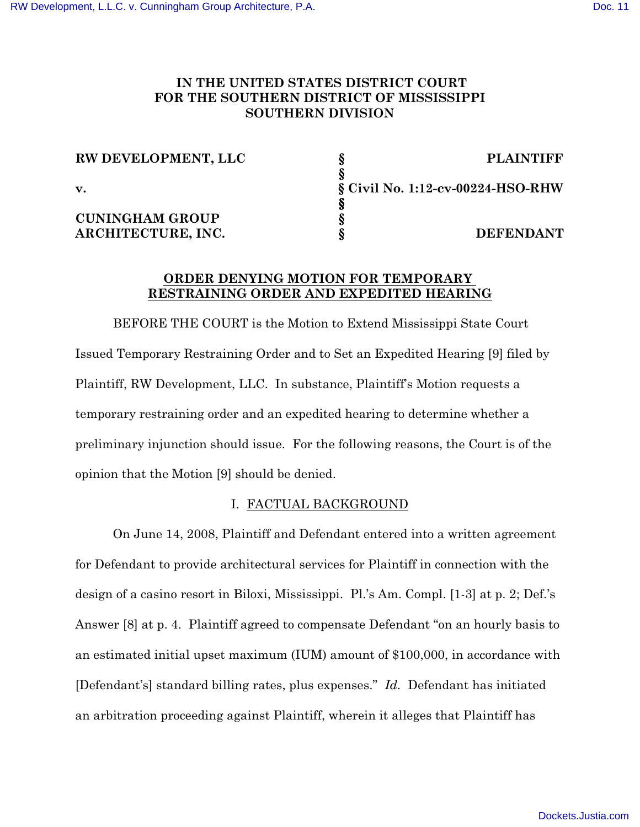# **IN THE UNITED STATES DISTRICT COURT FOR THE SOUTHERN DISTRICT OF MISSISSIPPI SOUTHERN DIVISION**

| <b>RW DEVELOPMENT, LLC</b> |                                      | <b>PLAINTIFF</b> |
|----------------------------|--------------------------------------|------------------|
|                            |                                      |                  |
| $\mathbf{v}$ .             | $\S$ Civil No. 1:12-cv-00224-HSO-RHW |                  |
|                            |                                      |                  |
| <b>CUNINGHAM GROUP</b>     |                                      |                  |
| ARCHITECTURE, INC.         |                                      | <b>DEFENDANT</b> |

# **ORDER DENYING MOTION FOR TEMPORARY RESTRAINING ORDER AND EXPEDITED HEARING**

BEFORE THE COURT is the Motion to Extend Mississippi State Court Issued Temporary Restraining Order and to Set an Expedited Hearing [9] filed by Plaintiff, RW Development, LLC. In substance, Plaintiff's Motion requests a temporary restraining order and an expedited hearing to determine whether a preliminary injunction should issue. For the following reasons, the Court is of the opinion that the Motion [9] should be denied.

# I. FACTUAL BACKGROUND

On June 14, 2008, Plaintiff and Defendant entered into a written agreement for Defendant to provide architectural services for Plaintiff in connection with the design of a casino resort in Biloxi, Mississippi. Pl.'s Am. Compl. [1-3] at p. 2; Def.'s Answer [8] at p. 4. Plaintiff agreed to compensate Defendant "on an hourly basis to an estimated initial upset maximum (IUM) amount of \$100,000, in accordance with [Defendant's] standard billing rates, plus expenses." *Id.* Defendant has initiated an arbitration proceeding against Plaintiff, wherein it alleges that Plaintiff has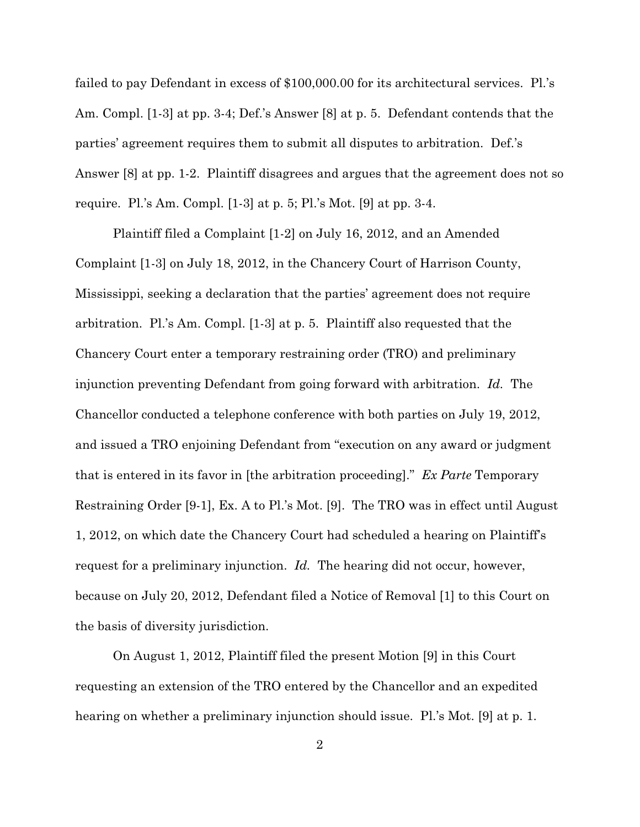failed to pay Defendant in excess of \$100,000.00 for its architectural services. Pl.'s Am. Compl. [1-3] at pp. 3-4; Def.'s Answer [8] at p. 5. Defendant contends that the parties' agreement requires them to submit all disputes to arbitration. Def.'s Answer [8] at pp. 1-2. Plaintiff disagrees and argues that the agreement does not so require. Pl.'s Am. Compl. [1-3] at p. 5; Pl.'s Mot. [9] at pp. 3-4.

Plaintiff filed a Complaint [1-2] on July 16, 2012, and an Amended Complaint [1-3] on July 18, 2012, in the Chancery Court of Harrison County, Mississippi, seeking a declaration that the parties' agreement does not require arbitration. Pl.'s Am. Compl. [1-3] at p. 5. Plaintiff also requested that the Chancery Court enter a temporary restraining order (TRO) and preliminary injunction preventing Defendant from going forward with arbitration. *Id.* The Chancellor conducted a telephone conference with both parties on July 19, 2012, and issued a TRO enjoining Defendant from "execution on any award or judgment that is entered in its favor in [the arbitration proceeding]." *Ex Parte* Temporary Restraining Order [9-1], Ex. A to Pl.'s Mot. [9]. The TRO was in effect until August 1, 2012, on which date the Chancery Court had scheduled a hearing on Plaintiff's request for a preliminary injunction. *Id.* The hearing did not occur, however, because on July 20, 2012, Defendant filed a Notice of Removal [1] to this Court on the basis of diversity jurisdiction.

On August 1, 2012, Plaintiff filed the present Motion [9] in this Court requesting an extension of the TRO entered by the Chancellor and an expedited hearing on whether a preliminary injunction should issue. Pl.'s Mot. [9] at p. 1.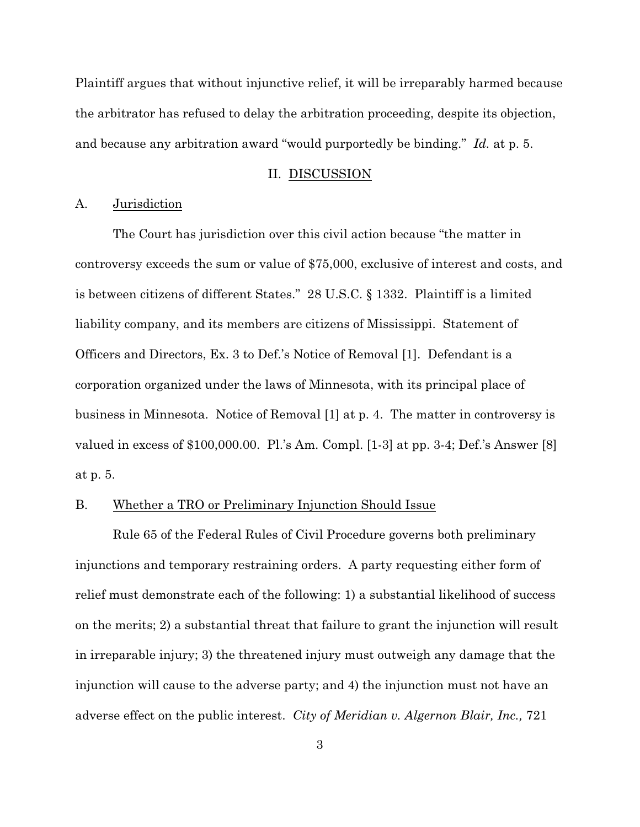Plaintiff argues that without injunctive relief, it will be irreparably harmed because the arbitrator has refused to delay the arbitration proceeding, despite its objection, and because any arbitration award "would purportedly be binding." *Id.* at p. 5.

## II. DISCUSSION

### A. Jurisdiction

The Court has jurisdiction over this civil action because "the matter in controversy exceeds the sum or value of \$75,000, exclusive of interest and costs, and is between citizens of different States." 28 U.S.C. § 1332. Plaintiff is a limited liability company, and its members are citizens of Mississippi. Statement of Officers and Directors, Ex. 3 to Def.'s Notice of Removal [1]. Defendant is a corporation organized under the laws of Minnesota, with its principal place of business in Minnesota. Notice of Removal [1] at p. 4. The matter in controversy is valued in excess of \$100,000.00. Pl.'s Am. Compl. [1-3] at pp. 3-4; Def.'s Answer [8] at p. 5.

### B. Whether a TRO or Preliminary Injunction Should Issue

Rule 65 of the Federal Rules of Civil Procedure governs both preliminary injunctions and temporary restraining orders. A party requesting either form of relief must demonstrate each of the following: 1) a substantial likelihood of success on the merits; 2) a substantial threat that failure to grant the injunction will result in irreparable injury; 3) the threatened injury must outweigh any damage that the injunction will cause to the adverse party; and 4) the injunction must not have an adverse effect on the public interest. *City of Meridian v. Algernon Blair, Inc.,* 721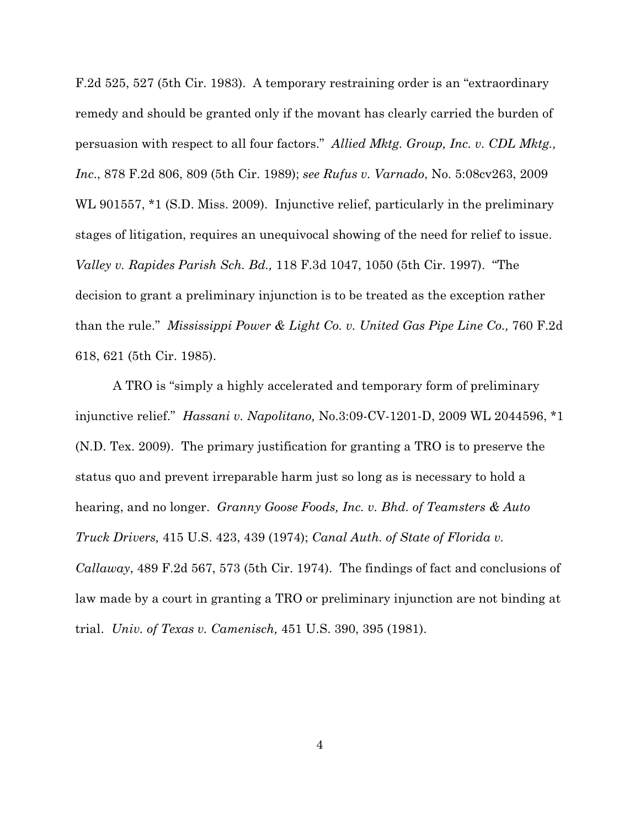F.2d 525, 527 (5th Cir. 1983). A temporary restraining order is an "extraordinary remedy and should be granted only if the movant has clearly carried the burden of persuasion with respect to all four factors." *Allied Mktg. Group, Inc. v. CDL Mktg., Inc*., 878 F.2d 806, 809 (5th Cir. 1989); *see Rufus v. Varnado*, No. 5:08cv263, 2009 WL 901557, \*1 (S.D. Miss. 2009). Injunctive relief, particularly in the preliminary stages of litigation, requires an unequivocal showing of the need for relief to issue. *Valley v. Rapides Parish Sch. Bd.,* 118 F.3d 1047, 1050 (5th Cir. 1997). "The decision to grant a preliminary injunction is to be treated as the exception rather than the rule." *Mississippi Power & Light Co. v. United Gas Pipe Line Co.,* 760 F.2d 618, 621 (5th Cir. 1985).

A TRO is "simply a highly accelerated and temporary form of preliminary injunctive relief." *Hassani v. Napolitano,* No.3:09-CV-1201-D, 2009 WL 2044596, \*1 (N.D. Tex. 2009). The primary justification for granting a TRO is to preserve the status quo and prevent irreparable harm just so long as is necessary to hold a hearing, and no longer. *Granny Goose Foods, Inc. v. Bhd. of Teamsters & Auto Truck Drivers,* 415 U.S. 423, 439 (1974); *Canal Auth. of State of Florida v. Callaway*, 489 F.2d 567, 573 (5th Cir. 1974). The findings of fact and conclusions of law made by a court in granting a TRO or preliminary injunction are not binding at trial. *Univ. of Texas v. Camenisch,* 451 U.S. 390, 395 (1981).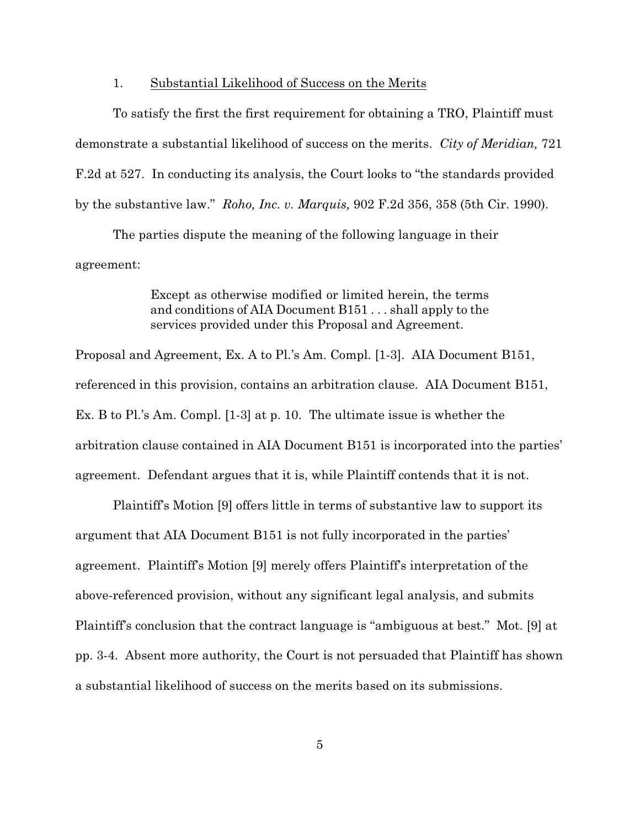#### 1. Substantial Likelihood of Success on the Merits

To satisfy the first the first requirement for obtaining a TRO, Plaintiff must demonstrate a substantial likelihood of success on the merits. *City of Meridian,* 721 F.2d at 527. In conducting its analysis, the Court looks to "the standards provided by the substantive law." *Roho, Inc. v. Marquis,* 902 F.2d 356, 358 (5th Cir. 1990).

The parties dispute the meaning of the following language in their agreement:

> Except as otherwise modified or limited herein, the terms and conditions of AIA Document B151 . . . shall apply to the services provided under this Proposal and Agreement.

Proposal and Agreement, Ex. A to Pl.'s Am. Compl. [1-3]. AIA Document B151, referenced in this provision, contains an arbitration clause. AIA Document B151, Ex. B to Pl.'s Am. Compl. [1-3] at p. 10. The ultimate issue is whether the arbitration clause contained in AIA Document B151 is incorporated into the parties' agreement. Defendant argues that it is, while Plaintiff contends that it is not.

Plaintiff's Motion [9] offers little in terms of substantive law to support its argument that AIA Document B151 is not fully incorporated in the parties' agreement. Plaintiff's Motion [9] merely offers Plaintiff's interpretation of the above-referenced provision, without any significant legal analysis, and submits Plaintiff's conclusion that the contract language is "ambiguous at best." Mot. [9] at pp. 3-4. Absent more authority, the Court is not persuaded that Plaintiff has shown a substantial likelihood of success on the merits based on its submissions.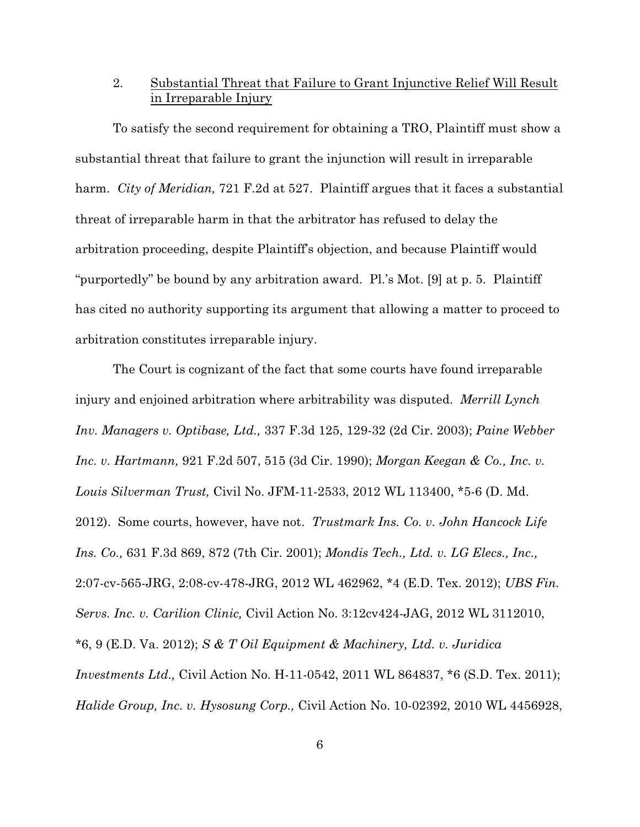# 2. Substantial Threat that Failure to Grant Injunctive Relief Will Result in Irreparable Injury

To satisfy the second requirement for obtaining a TRO, Plaintiff must show a substantial threat that failure to grant the injunction will result in irreparable harm. *City of Meridian,* 721 F.2d at 527. Plaintiff argues that it faces a substantial threat of irreparable harm in that the arbitrator has refused to delay the arbitration proceeding, despite Plaintiff's objection, and because Plaintiff would "purportedly" be bound by any arbitration award. Pl.'s Mot. [9] at p. 5. Plaintiff has cited no authority supporting its argument that allowing a matter to proceed to arbitration constitutes irreparable injury.

The Court is cognizant of the fact that some courts have found irreparable injury and enjoined arbitration where arbitrability was disputed. *Merrill Lynch Inv. Managers v. Optibase, Ltd.,* 337 F.3d 125, 129-32 (2d Cir. 2003); *Paine Webber Inc. v. Hartmann,* 921 F.2d 507, 515 (3d Cir. 1990); *Morgan Keegan & Co., Inc. v. Louis Silverman Trust,* Civil No. JFM-11-2533, 2012 WL 113400, \*5-6 (D. Md. 2012). Some courts, however, have not. *Trustmark Ins. Co. v. John Hancock Life Ins. Co.,* 631 F.3d 869, 872 (7th Cir. 2001); *Mondis Tech., Ltd. v. LG Elecs., Inc.,* 2:07-cv-565-JRG, 2:08-cv-478-JRG, 2012 WL 462962, \*4 (E.D. Tex. 2012); *UBS Fin. Servs. Inc. v. Carilion Clinic,* Civil Action No. 3:12cv424-JAG, 2012 WL 3112010, \*6, 9 (E.D. Va. 2012); *S & T Oil Equipment & Machinery, Ltd. v. Juridica Investments Ltd.,* Civil Action No. H-11-0542, 2011 WL 864837, \*6 (S.D. Tex. 2011); *Halide Group, Inc. v. Hysosung Corp.,* Civil Action No. 10-02392, 2010 WL 4456928,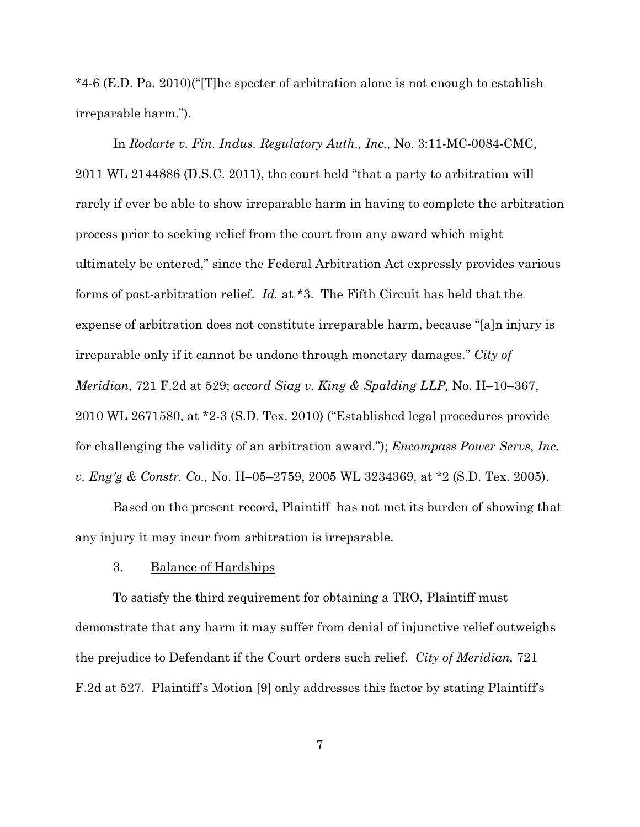\*4-6 (E.D. Pa. 2010)("[T]he specter of arbitration alone is not enough to establish irreparable harm.").

In *Rodarte v. Fin. Indus. Regulatory Auth., Inc.,* No. 3:11-MC-0084-CMC, 2011 WL 2144886 (D.S.C. 2011), the court held "that a party to arbitration will rarely if ever be able to show irreparable harm in having to complete the arbitration process prior to seeking relief from the court from any award which might ultimately be entered," since the Federal Arbitration Act expressly provides various forms of post-arbitration relief. *Id.* at \*3. The Fifth Circuit has held that the expense of arbitration does not constitute irreparable harm, because "[a]n injury is irreparable only if it cannot be undone through monetary damages." *City of Meridian,* 721 F.2d at 529; *accord Siag v. King & Spalding LLP,* No. H–10–367, 2010 WL 2671580, at \*2-3 (S.D. Tex. 2010) ("Established legal procedures provide for challenging the validity of an arbitration award."); *Encompass Power Servs, Inc. v. Eng'g & Constr. Co.,* No. H–05–2759, 2005 WL 3234369, at \*2 (S.D. Tex. 2005).

Based on the present record, Plaintiff has not met its burden of showing that any injury it may incur from arbitration is irreparable.

### 3. Balance of Hardships

To satisfy the third requirement for obtaining a TRO, Plaintiff must demonstrate that any harm it may suffer from denial of injunctive relief outweighs the prejudice to Defendant if the Court orders such relief. *City of Meridian,* 721 F.2d at 527. Plaintiff's Motion [9] only addresses this factor by stating Plaintiff's

7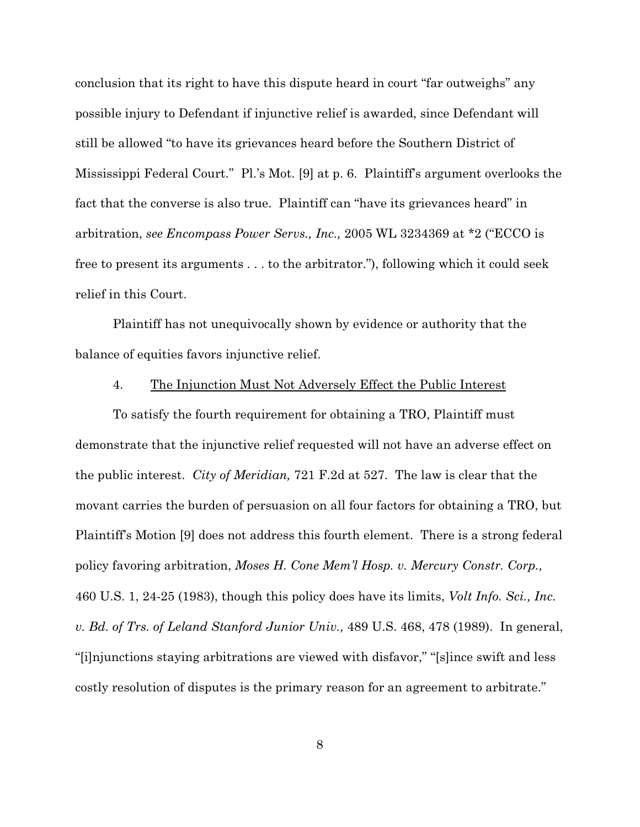conclusion that its right to have this dispute heard in court "far outweighs" any possible injury to Defendant if injunctive relief is awarded, since Defendant will still be allowed "to have its grievances heard before the Southern District of Mississippi Federal Court." Pl.'s Mot. [9] at p. 6. Plaintiff's argument overlooks the fact that the converse is also true. Plaintiff can "have its grievances heard" in arbitration, *see Encompass Power Servs., Inc.,* 2005 WL 3234369 at \*2 ("ECCO is free to present its arguments . . . to the arbitrator."), following which it could seek relief in this Court.

Plaintiff has not unequivocally shown by evidence or authority that the balance of equities favors injunctive relief.

## 4. The Injunction Must Not Adversely Effect the Public Interest

To satisfy the fourth requirement for obtaining a TRO, Plaintiff must demonstrate that the injunctive relief requested will not have an adverse effect on the public interest. *City of Meridian,* 721 F.2d at 527. The law is clear that the movant carries the burden of persuasion on all four factors for obtaining a TRO, but Plaintiff's Motion [9] does not address this fourth element. There is a strong federal policy favoring arbitration, *Moses H. Cone Mem'l Hosp. v. Mercury Constr. Corp.,* 460 U.S. 1, 24-25 (1983), though this policy does have its limits, *Volt Info. Sci., Inc. v. Bd. of Trs. of Leland Stanford Junior Univ.,* 489 U.S. 468, 478 (1989). In general, "[i]njunctions staying arbitrations are viewed with disfavor," "[s]ince swift and less costly resolution of disputes is the primary reason for an agreement to arbitrate."